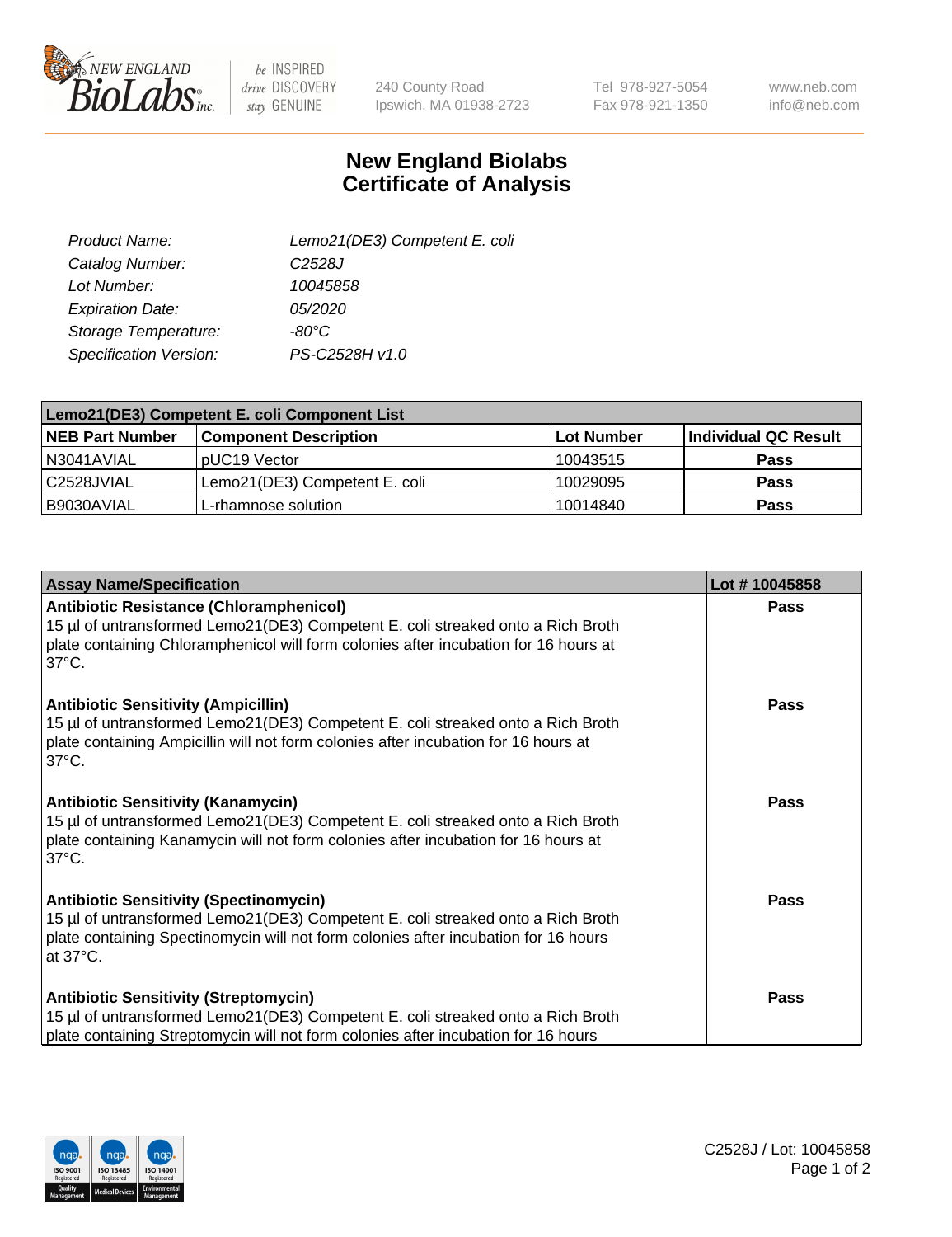

 $be$  INSPIRED drive DISCOVERY stay GENUINE

240 County Road Ipswich, MA 01938-2723 Tel 978-927-5054 Fax 978-921-1350

www.neb.com info@neb.com

## **New England Biolabs Certificate of Analysis**

| Product Name:           | Lemo21(DE3) Competent E. coli |
|-------------------------|-------------------------------|
| Catalog Number:         | C <sub>2528</sub> J           |
| Lot Number:             | 10045858                      |
| <b>Expiration Date:</b> | 05/2020                       |
| Storage Temperature:    | $-80^{\circ}$ C               |
| Specification Version:  | PS-C2528H v1.0                |

| Lemo21(DE3) Competent E. coli Component List |                               |                   |                      |  |
|----------------------------------------------|-------------------------------|-------------------|----------------------|--|
| <b>NEB Part Number</b>                       | <b>Component Description</b>  | <b>Lot Number</b> | Individual QC Result |  |
| I N3041AVIAL                                 | IpUC19 Vector                 | 10043515          | <b>Pass</b>          |  |
| C2528JVIAL                                   | Lemo21(DE3) Competent E. coli | 10029095          | <b>Pass</b>          |  |
| B9030AVIAL                                   | L-rhamnose solution           | 10014840          | <b>Pass</b>          |  |

| <b>Assay Name/Specification</b>                                                                                                                                                                                                              | Lot #10045858 |
|----------------------------------------------------------------------------------------------------------------------------------------------------------------------------------------------------------------------------------------------|---------------|
| <b>Antibiotic Resistance (Chloramphenicol)</b><br>15 µl of untransformed Lemo21(DE3) Competent E. coli streaked onto a Rich Broth<br>plate containing Chloramphenicol will form colonies after incubation for 16 hours at<br>$37^{\circ}$ C. | <b>Pass</b>   |
| <b>Antibiotic Sensitivity (Ampicillin)</b><br>15 µl of untransformed Lemo21(DE3) Competent E. coli streaked onto a Rich Broth<br>plate containing Ampicillin will not form colonies after incubation for 16 hours at<br>$37^{\circ}$ C.      | Pass          |
| <b>Antibiotic Sensitivity (Kanamycin)</b><br>15 µl of untransformed Lemo21(DE3) Competent E. coli streaked onto a Rich Broth<br>plate containing Kanamycin will not form colonies after incubation for 16 hours at<br>$37^{\circ}$ C.        | <b>Pass</b>   |
| <b>Antibiotic Sensitivity (Spectinomycin)</b><br>15 µl of untransformed Lemo21(DE3) Competent E. coli streaked onto a Rich Broth<br>plate containing Spectinomycin will not form colonies after incubation for 16 hours<br>at 37°C.          | <b>Pass</b>   |
| <b>Antibiotic Sensitivity (Streptomycin)</b><br>15 µl of untransformed Lemo21(DE3) Competent E. coli streaked onto a Rich Broth<br>plate containing Streptomycin will not form colonies after incubation for 16 hours                        | <b>Pass</b>   |